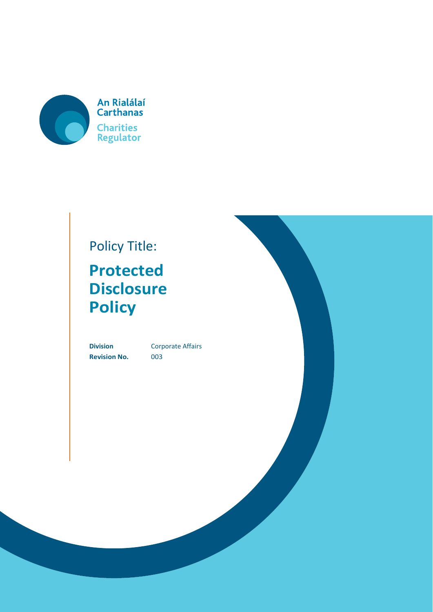

## Policy Title:

# **Protected Disclosure Policy**

**Revision No.** 003

**Division** Corporate Affairs

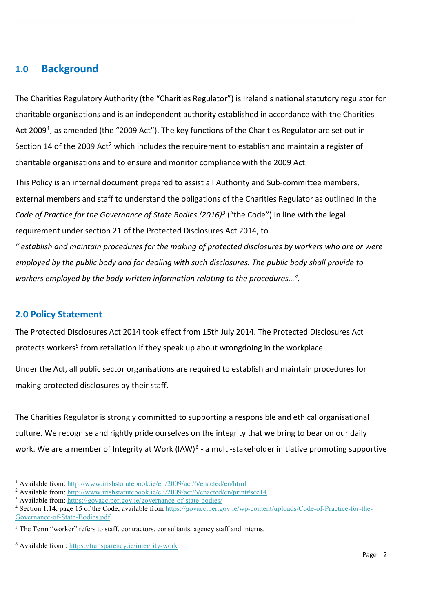## **1.0 Background**

The Charities Regulatory Authority (the "Charities Regulator") is Ireland's national statutory regulator for charitable organisations and is an independent authority established in accordance with the Charities Act 2009<sup>1</sup>, as amended (the "2009 Act"). The key functions of the Charities Regulator are set out in Section 14 of the [2](#page-1-1)009 Act<sup>2</sup> which includes the requirement to establish and maintain a register of charitable organisations and to ensure and monitor compliance with the 2009 Act.

This Policy is an internal document prepared to assist all Authority and Sub-committee members, external members and staff to understand the obligations of the Charities Regulator as outlined in the *Code of Practice for the Governance of State Bodies (2016)[3](#page-1-2)* ("the Code") In line with the legal requirement under section 21 of the Protected Disclosures Act 2014, to *" establish and maintain procedures for the making of protected disclosures by workers who are or were employed by the public body and for dealing with such disclosures. The public body shall provide to workers employed by the body written information relating to the procedures…[4.](#page-1-3)*

## **2.0 Policy Statement**

**.** 

The [Protected Disclosures Act 2014](http://www.irishstatutebook.ie/eli/2014/act/14/enacted/en/html) took effect from 15th July 2014. The Protected Disclosures Act protects workers<sup>[5](#page-1-4)</sup> from retaliation if they speak up about wrongdoing in the workplace.

Under the Act, all public sector organisations are required to establish and maintain procedures for making protected disclosures by their staff.

The Charities Regulator is strongly committed to supporting a responsible and ethical organisational culture. We recognise and rightly pride ourselves on the integrity that we bring to bear on our daily work. We are a member of Integrity at Work (IAW)<sup>[6](#page-1-5)</sup> - a multi-stakeholder initiative promoting supportive

<span id="page-1-1"></span><sup>2</sup> Available from:<http://www.irishstatutebook.ie/eli/2009/act/6/enacted/en/print#sec14>3 Available from:<https://govacc.per.gov.ie/governance-of-state-bodies/>

<span id="page-1-0"></span><sup>&</sup>lt;sup>1</sup> Available from:<http://www.irishstatutebook.ie/eli/2009/act/6/enacted/en/html>

<span id="page-1-2"></span>

<span id="page-1-3"></span><sup>4</sup> Section 1.14, page 15 of the Code, available from [https://govacc.per.gov.ie/wp-content/uploads/Code-of-Practice-for-the-](https://govacc.per.gov.ie/wp-content/uploads/Code-of-Practice-for-the-Governance-of-State-Bodies.pdf)[Governance-of-State-Bodies.pdf](https://govacc.per.gov.ie/wp-content/uploads/Code-of-Practice-for-the-Governance-of-State-Bodies.pdf)

<span id="page-1-4"></span><sup>&</sup>lt;sup>5</sup> The Term "worker" refers to staff, contractors, consultants, agency staff and interns.

<span id="page-1-5"></span><sup>6</sup> Available from :<https://transparency.ie/integrity-work>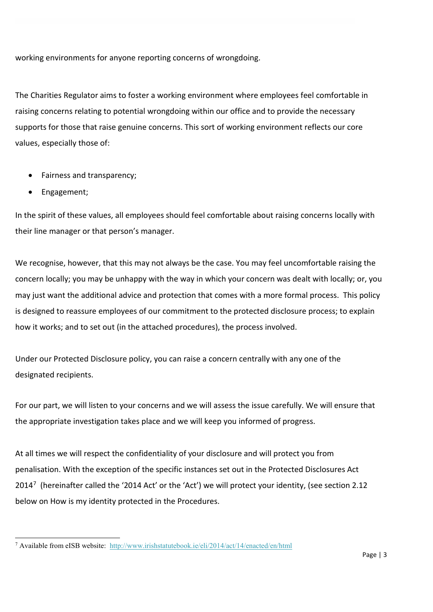working environments for anyone reporting concerns of wrongdoing.

The Charities Regulator aims to foster a working environment where employees feel comfortable in raising concerns relating to potential wrongdoing within our office and to provide the necessary supports for those that raise genuine concerns. This sort of working environment reflects our core values, especially those of:

- Fairness and transparency;
- Engagement;

In the spirit of these values, all employees should feel comfortable about raising concerns locally with their line manager or that person's manager.

We recognise, however, that this may not always be the case. You may feel uncomfortable raising the concern locally; you may be unhappy with the way in which your concern was dealt with locally; or, you may just want the additional advice and protection that comes with a more formal process. This policy is designed to reassure employees of our commitment to the protected disclosure process; to explain how it works; and to set out (in the attached procedures), the process involved.

Under our Protected Disclosure policy, you can raise a concern centrally with any one of the designated recipients.

For our part, we will listen to your concerns and we will assess the issue carefully. We will ensure that the appropriate investigation takes place and we will keep you informed of progress.

At all times we will respect the confidentiality of your disclosure and will protect you from penalisation. With the exception of the specific instances set out in the Protected Disclosures Act 2014<sup>[7](#page-2-0)</sup> (hereinafter called the '2014 Act' or the 'Act') we will protect your identity, (see section 2.12 below on How is my identity protected in the Procedures.

<span id="page-2-0"></span>**<sup>.</sup>** <sup>7</sup> Available from eISB website: <http://www.irishstatutebook.ie/eli/2014/act/14/enacted/en/html>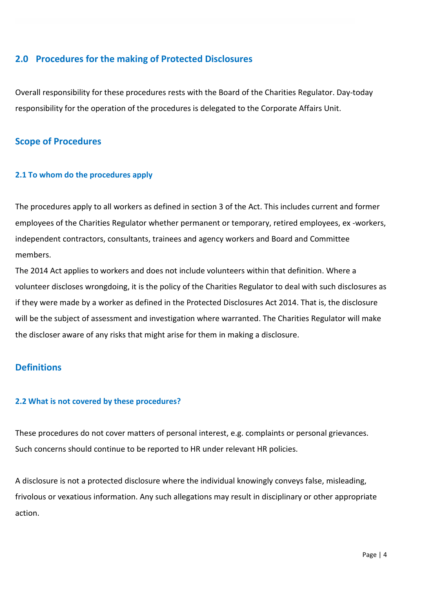## **2.0 Procedures for the making of Protected Disclosures**

Overall responsibility for these procedures rests with the Board of the Charities Regulator. Day-today responsibility for the operation of the procedures is delegated to the Corporate Affairs Unit.

## **Scope of Procedures**

#### **2.1 To whom do the procedures apply**

The procedures apply to all workers as defined in section 3 of the Act. This includes current and former employees of the Charities Regulator whether permanent or temporary, retired employees, ex -workers, independent contractors, consultants, trainees and agency workers and Board and Committee members.

The 2014 Act applies to workers and does not include volunteers within that definition. Where a volunteer discloses wrongdoing, it is the policy of the Charities Regulator to deal with such disclosures as if they were made by a worker as defined in the Protected Disclosures Act 2014. That is, the disclosure will be the subject of assessment and investigation where warranted. The Charities Regulator will make the discloser aware of any risks that might arise for them in making a disclosure.

## **Definitions**

#### **2.2 What is not covered by these procedures?**

These procedures do not cover matters of personal interest, e.g. complaints or personal grievances. Such concerns should continue to be reported to HR under relevant HR policies.

A disclosure is not a protected disclosure where the individual knowingly conveys false, misleading, frivolous or vexatious information. Any such allegations may result in disciplinary or other appropriate action.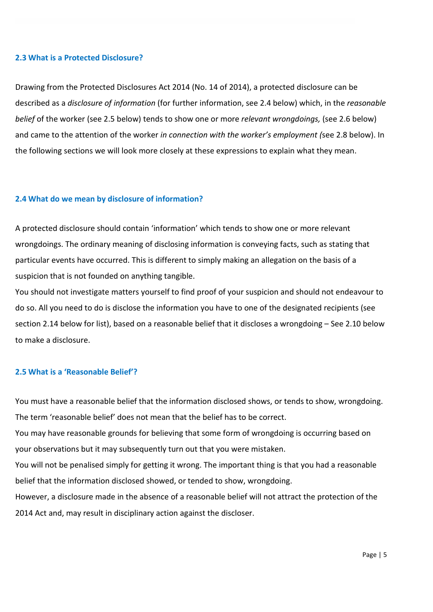#### **2.3 What is a Protected Disclosure?**

Drawing from the Protected Disclosures Act 2014 (No. 14 of 2014), a protected disclosure can be described as a *disclosure of information* (for further information, see 2.4 below) which, in the *reasonable belief* of the worker (see 2.5 below) tends to show one or more *relevant wrongdoings,* (see 2.6 below) and came to the attention of the worker *in connection with the worker's employment (*see 2.8 below). In the following sections we will look more closely at these expressions to explain what they mean.

#### **2.4 What do we mean by disclosure of information?**

A protected disclosure should contain 'information' which tends to show one or more relevant wrongdoings. The ordinary meaning of disclosing information is conveying facts, such as stating that particular events have occurred. This is different to simply making an allegation on the basis of a suspicion that is not founded on anything tangible.

You should not investigate matters yourself to find proof of your suspicion and should not endeavour to do so. All you need to do is disclose the information you have to one of the designated recipients (see section 2.14 below for list), based on a reasonable belief that it discloses a wrongdoing – See 2.10 below to make a disclosure.

### **2.5 What is a 'Reasonable Belief'?**

You must have a reasonable belief that the information disclosed shows, or tends to show, wrongdoing. The term 'reasonable belief' does not mean that the belief has to be correct.

You may have reasonable grounds for believing that some form of wrongdoing is occurring based on your observations but it may subsequently turn out that you were mistaken.

You will not be penalised simply for getting it wrong. The important thing is that you had a reasonable belief that the information disclosed showed, or tended to show, wrongdoing.

However, a disclosure made in the absence of a reasonable belief will not attract the protection of the 2014 Act and, may result in disciplinary action against the discloser.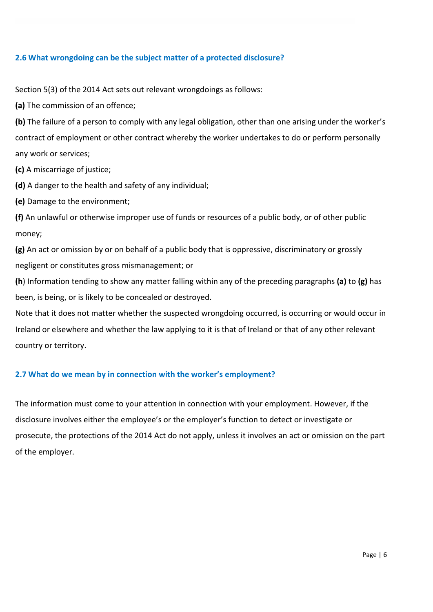#### **2.6 What wrongdoing can be the subject matter of a protected disclosure?**

Section 5(3) of the 2014 Act sets out relevant wrongdoings as follows:

**(a)** The commission of an offence;

**(b)** The failure of a person to comply with any legal obligation, other than one arising under the worker's contract of employment or other contract whereby the worker undertakes to do or perform personally any work or services;

**(c)** A miscarriage of justice;

**(d)** A danger to the health and safety of any individual;

**(e)** Damage to the environment;

**(f)** An unlawful or otherwise improper use of funds or resources of a public body, or of other public money;

**(g)** An act or omission by or on behalf of a public body that is oppressive, discriminatory or grossly negligent or constitutes gross mismanagement; or

**(h**) Information tending to show any matter falling within any of the preceding paragraphs **(a)** to **(g)** has been, is being, or is likely to be concealed or destroyed.

Note that it does not matter whether the suspected wrongdoing occurred, is occurring or would occur in Ireland or elsewhere and whether the law applying to it is that of Ireland or that of any other relevant country or territory.

## **2.7 What do we mean by in connection with the worker's employment?**

The information must come to your attention in connection with your employment. However, if the disclosure involves either the employee's or the employer's function to detect or investigate or prosecute, the protections of the 2014 Act do not apply, unless it involves an act or omission on the part of the employer.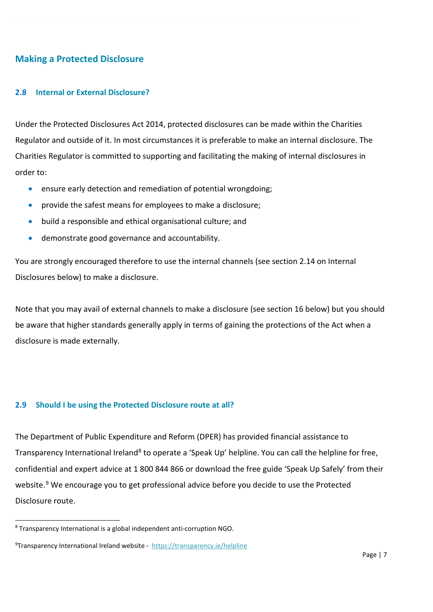## **Making a Protected Disclosure**

#### **2.8 Internal or External Disclosure?**

Under the Protected Disclosures Act 2014, protected disclosures can be made within the Charities Regulator and outside of it. In most circumstances it is preferable to make an internal disclosure. The Charities Regulator is committed to supporting and facilitating the making of internal disclosures in order to:

- ensure early detection and remediation of potential wrongdoing;
- provide the safest means for employees to make a disclosure;
- build a responsible and ethical organisational culture; and
- demonstrate good governance and accountability.

You are strongly encouraged therefore to use the internal channels (see section 2.14 on Internal Disclosures below) to make a disclosure.

Note that you may avail of external channels to make a disclosure (see section 16 below) but you should be aware that higher standards generally apply in terms of gaining the protections of the Act when a disclosure is made externally.

#### **2.9 Should I be using the Protected Disclosure route at all?**

The Department of Public Expenditure and Reform (DPER) has provided financial assistance to Transparency International Ireland<sup>8</sup> to operate a 'Speak Up' helpline. You can call the helpline for free, confidential and expert advice at 1 800 844 866 or download the free guide 'Speak Up Safely' from their website.<sup>[9](#page-6-1)</sup> We encourage you to get professional advice before you decide to use the Protected Disclosure route.

<span id="page-6-0"></span> <sup>8</sup> Transparency International is a global independent anti-corruption NGO.

<span id="page-6-1"></span><sup>&</sup>lt;sup>9</sup>Transparency International Ireland website - <https://transparency.ie/helpline>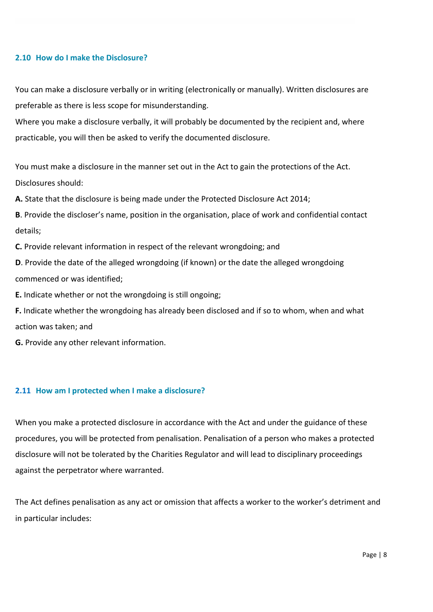#### **2.10 How do I make the Disclosure?**

You can make a disclosure verbally or in writing (electronically or manually). Written disclosures are preferable as there is less scope for misunderstanding.

Where you make a disclosure verbally, it will probably be documented by the recipient and, where practicable, you will then be asked to verify the documented disclosure.

You must make a disclosure in the manner set out in the Act to gain the protections of the Act. Disclosures should:

**A.** State that the disclosure is being made under the Protected Disclosure Act 2014;

**B**. Provide the discloser's name, position in the organisation, place of work and confidential contact details;

**C.** Provide relevant information in respect of the relevant wrongdoing; and

**D**. Provide the date of the alleged wrongdoing (if known) or the date the alleged wrongdoing commenced or was identified;

**E.** Indicate whether or not the wrongdoing is still ongoing;

**F.** Indicate whether the wrongdoing has already been disclosed and if so to whom, when and what action was taken; and

**G.** Provide any other relevant information.

#### **2.11 How am I protected when I make a disclosure?**

When you make a protected disclosure in accordance with the Act and under the guidance of these procedures, you will be protected from penalisation. Penalisation of a person who makes a protected disclosure will not be tolerated by the Charities Regulator and will lead to disciplinary proceedings against the perpetrator where warranted.

The Act defines penalisation as any act or omission that affects a worker to the worker's detriment and in particular includes: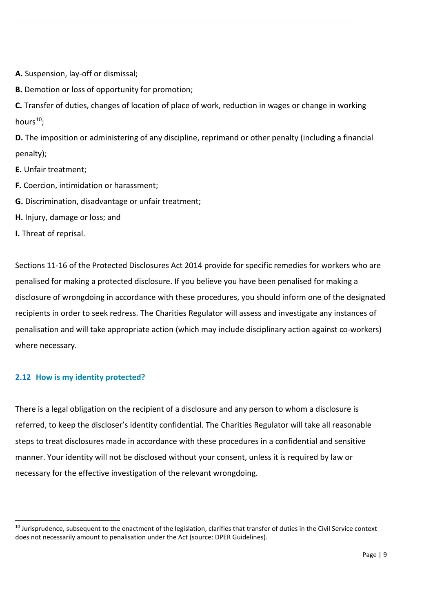**A.** Suspension, lay-off or dismissal;

**B.** Demotion or loss of opportunity for promotion;

**C.** Transfer of duties, changes of location of place of work, reduction in wages or change in working hours $10$ :

**D.** The imposition or administering of any discipline, reprimand or other penalty (including a financial penalty);

- **E.** Unfair treatment;
- **F.** Coercion, intimidation or harassment;
- **G.** Discrimination, disadvantage or unfair treatment;
- **H.** Injury, damage or loss; and

**I.** Threat of reprisal.

Sections 11-16 of the Protected Disclosures Act 2014 provide for specific remedies for workers who are penalised for making a protected disclosure. If you believe you have been penalised for making a disclosure of wrongdoing in accordance with these procedures, you should inform one of the designated recipients in order to seek redress. The Charities Regulator will assess and investigate any instances of penalisation and will take appropriate action (which may include disciplinary action against co-workers) where necessary.

#### **2.12 How is my identity protected?**

There is a legal obligation on the recipient of a disclosure and any person to whom a disclosure is referred, to keep the discloser's identity confidential. The Charities Regulator will take all reasonable steps to treat disclosures made in accordance with these procedures in a confidential and sensitive manner. Your identity will not be disclosed without your consent, unless it is required by law or necessary for the effective investigation of the relevant wrongdoing.

<span id="page-8-0"></span> $10$  Jurisprudence, subsequent to the enactment of the legislation, clarifies that transfer of duties in the Civil Service context does not necessarily amount to penalisation under the Act (source: DPER Guidelines).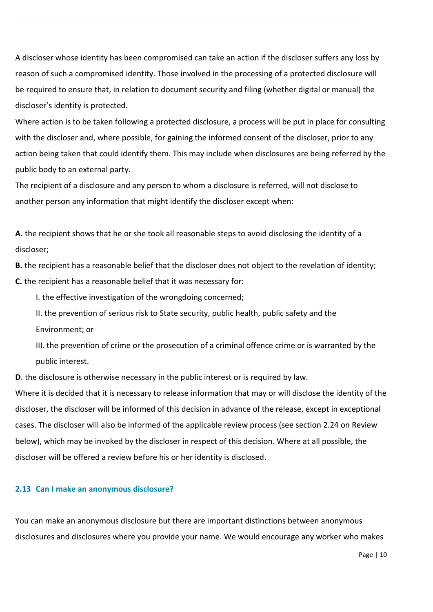A discloser whose identity has been compromised can take an action if the discloser suffers any loss by reason of such a compromised identity. Those involved in the processing of a protected disclosure will be required to ensure that, in relation to document security and filing (whether digital or manual) the discloser's identity is protected.

Where action is to be taken following a protected disclosure, a process will be put in place for consulting with the discloser and, where possible, for gaining the informed consent of the discloser, prior to any action being taken that could identify them. This may include when disclosures are being referred by the public body to an external party.

The recipient of a disclosure and any person to whom a disclosure is referred, will not disclose to another person any information that might identify the discloser except when:

**A.** the recipient shows that he or she took all reasonable steps to avoid disclosing the identity of a discloser;

**B.** the recipient has a reasonable belief that the discloser does not object to the revelation of identity; **C.** the recipient has a reasonable belief that it was necessary for:

I. the effective investigation of the wrongdoing concerned;

II. the prevention of serious risk to State security, public health, public safety and the Environment; or

III. the prevention of crime or the prosecution of a criminal offence crime or is warranted by the public interest.

**D**. the disclosure is otherwise necessary in the public interest or is required by law.

Where it is decided that it is necessary to release information that may or will disclose the identity of the discloser, the discloser will be informed of this decision in advance of the release, except in exceptional cases. The discloser will also be informed of the applicable review process (see section 2.24 on Review below), which may be invoked by the discloser in respect of this decision. Where at all possible, the discloser will be offered a review before his or her identity is disclosed.

#### **2.13 Can I make an anonymous disclosure?**

You can make an anonymous disclosure but there are important distinctions between anonymous disclosures and disclosures where you provide your name. We would encourage any worker who makes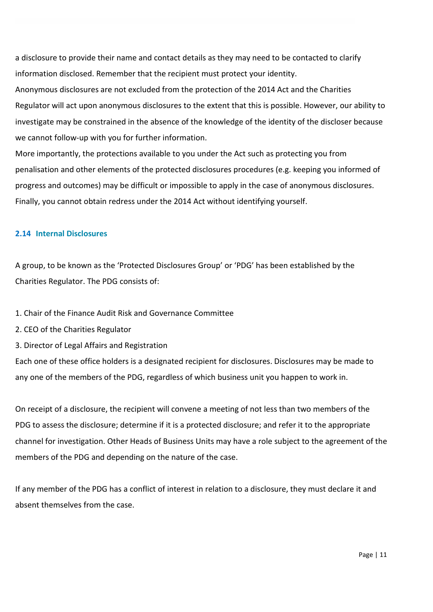a disclosure to provide their name and contact details as they may need to be contacted to clarify information disclosed. Remember that the recipient must protect your identity.

Anonymous disclosures are not excluded from the protection of the 2014 Act and the Charities Regulator will act upon anonymous disclosures to the extent that this is possible. However, our ability to investigate may be constrained in the absence of the knowledge of the identity of the discloser because we cannot follow-up with you for further information.

More importantly, the protections available to you under the Act such as protecting you from penalisation and other elements of the protected disclosures procedures (e.g. keeping you informed of progress and outcomes) may be difficult or impossible to apply in the case of anonymous disclosures. Finally, you cannot obtain redress under the 2014 Act without identifying yourself.

#### **2.14 Internal Disclosures**

A group, to be known as the 'Protected Disclosures Group' or 'PDG' has been established by the Charities Regulator. The PDG consists of:

1. Chair of the Finance Audit Risk and Governance Committee

- 2. CEO of the Charities Regulator
- 3. Director of Legal Affairs and Registration

Each one of these office holders is a designated recipient for disclosures. Disclosures may be made to any one of the members of the PDG, regardless of which business unit you happen to work in.

On receipt of a disclosure, the recipient will convene a meeting of not less than two members of the PDG to assess the disclosure; determine if it is a protected disclosure; and refer it to the appropriate channel for investigation. Other Heads of Business Units may have a role subject to the agreement of the members of the PDG and depending on the nature of the case.

If any member of the PDG has a conflict of interest in relation to a disclosure, they must declare it and absent themselves from the case.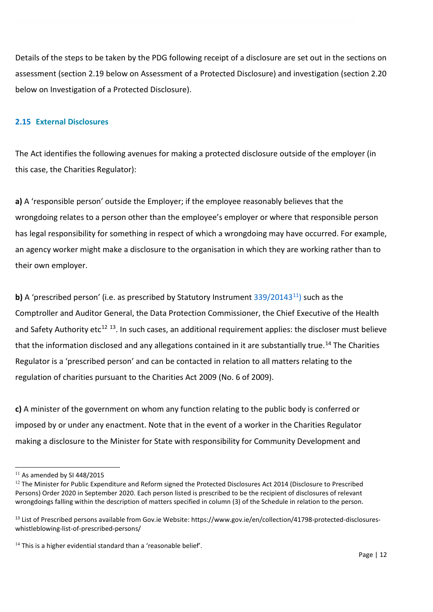Details of the steps to be taken by the PDG following receipt of a disclosure are set out in the sections on assessment (section 2.19 below on Assessment of a Protected Disclosure) and investigation (section 2.20 below on Investigation of a Protected Disclosure).

#### **2.15 External Disclosures**

The Act identifies the following avenues for making a protected disclosure outside of the employer (in this case, the Charities Regulator):

**a)** A 'responsible person' outside the Employer; if the employee reasonably believes that the wrongdoing relates to a person other than the employee's employer or where that responsible person has legal responsibility for something in respect of which a wrongdoing may have occurred. For example, an agency worker might make a disclosure to the organisation in which they are working rather than to their own employer.

**b)** A 'prescribed person' (i.e. as prescribed by Statutory Instrument 339/20143<sup>[11](#page-11-0)</sup>) such as the Comptroller and Auditor General, the Data Protection Commissioner, the Chief Executive of the Health and Safety Authority etc<sup>[12](#page-11-1) [13](#page-11-2)</sup>. In such cases, an additional requirement applies: the discloser must believe that the information disclosed and any allegations contained in it are substantially true.<sup>14</sup> The Charities Regulator is a 'prescribed person' and can be contacted in relation to all matters relating to the regulation of charities pursuant to the Charities Act 2009 (No. 6 of 2009).

**c)** A minister of the government on whom any function relating to the public body is conferred or imposed by or under any enactment. Note that in the event of a worker in the Charities Regulator making a disclosure to the Minister for State with responsibility for Community Development and

**.** 

<span id="page-11-0"></span> $11$  As amended by SI 448/2015

<span id="page-11-1"></span><sup>&</sup>lt;sup>12</sup> The Minister for Public Expenditure and Reform signed the Protected Disclosures Act 2014 (Disclosure to Prescribed Persons) Order 2020 in September 2020. Each person listed is prescribed to be the recipient of disclosures of relevant wrongdoings falling within the description of matters specified in column (3) of the Schedule in relation to the person.

<span id="page-11-2"></span><sup>&</sup>lt;sup>13</sup> List of Prescribed persons available from Gov.ie Website: https://www.gov.ie/en/collection/41798-protected-disclosureswhistleblowing-list-of-prescribed-persons/

<span id="page-11-3"></span> $14$  This is a higher evidential standard than a 'reasonable belief'.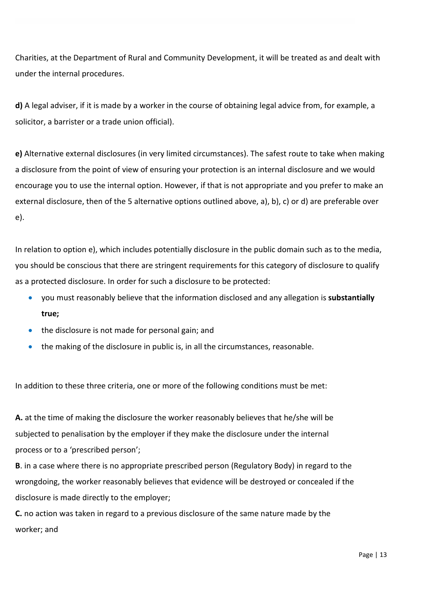Charities, at the Department of Rural and Community Development, it will be treated as and dealt with under the internal procedures.

**d)** A legal adviser, if it is made by a worker in the course of obtaining legal advice from, for example, a solicitor, a barrister or a trade union official).

**e)** Alternative external disclosures (in very limited circumstances). The safest route to take when making a disclosure from the point of view of ensuring your protection is an internal disclosure and we would encourage you to use the internal option. However, if that is not appropriate and you prefer to make an external disclosure, then of the 5 alternative options outlined above, a), b), c) or d) are preferable over e).

In relation to option e), which includes potentially disclosure in the public domain such as to the media, you should be conscious that there are stringent requirements for this category of disclosure to qualify as a protected disclosure. In order for such a disclosure to be protected:

- you must reasonably believe that the information disclosed and any allegation is **substantially true;**
- the disclosure is not made for personal gain; and
- the making of the disclosure in public is, in all the circumstances, reasonable.

In addition to these three criteria, one or more of the following conditions must be met:

**A.** at the time of making the disclosure the worker reasonably believes that he/she will be subjected to penalisation by the employer if they make the disclosure under the internal process or to a 'prescribed person';

**B**. in a case where there is no appropriate prescribed person (Regulatory Body) in regard to the wrongdoing, the worker reasonably believes that evidence will be destroyed or concealed if the disclosure is made directly to the employer;

**C.** no action was taken in regard to a previous disclosure of the same nature made by the worker; and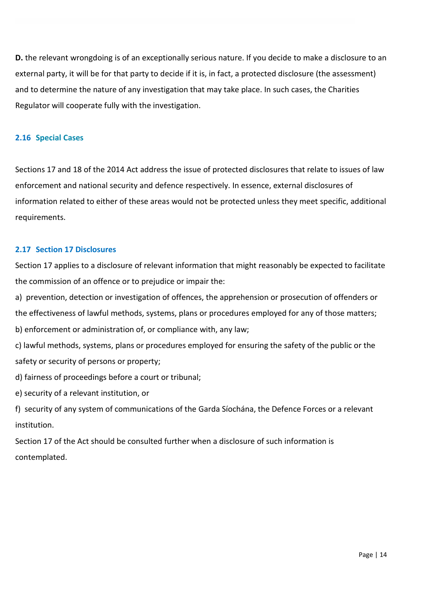**D.** the relevant wrongdoing is of an exceptionally serious nature. If you decide to make a disclosure to an external party, it will be for that party to decide if it is, in fact, a protected disclosure (the assessment) and to determine the nature of any investigation that may take place. In such cases, the Charities Regulator will cooperate fully with the investigation.

#### **2.16 Special Cases**

Sections 17 and 18 of the 2014 Act address the issue of protected disclosures that relate to issues of law enforcement and national security and defence respectively. In essence, external disclosures of information related to either of these areas would not be protected unless they meet specific, additional requirements.

#### **2.17 Section 17 Disclosures**

Section 17 applies to a disclosure of relevant information that might reasonably be expected to facilitate the commission of an offence or to prejudice or impair the:

a) prevention, detection or investigation of offences, the apprehension or prosecution of offenders or the effectiveness of lawful methods, systems, plans or procedures employed for any of those matters; b) enforcement or administration of, or compliance with, any law;

c) lawful methods, systems, plans or procedures employed for ensuring the safety of the public or the safety or security of persons or property;

d) fairness of proceedings before a court or tribunal;

e) security of a relevant institution, or

f) security of any system of communications of the Garda Síochána, the Defence Forces or a relevant institution.

Section 17 of the Act should be consulted further when a disclosure of such information is contemplated.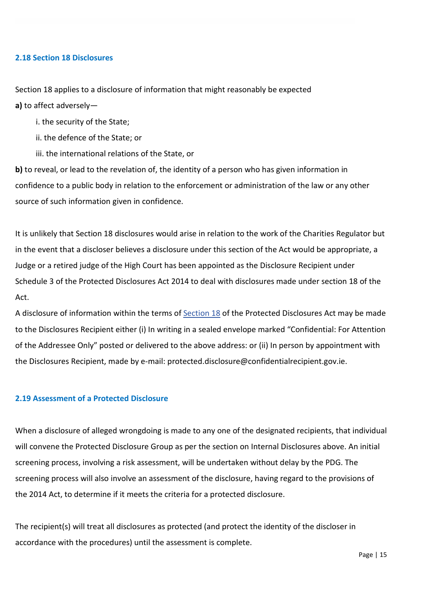#### **2.18 Section 18 Disclosures**

Section 18 applies to a disclosure of information that might reasonably be expected **a)** to affect adversely—

i. the security of the State;

ii. the defence of the State; or

iii. the international relations of the State, or

**b**) to reveal, or lead to the revelation of, the identity of a person who has given information in confidence to a public body in relation to the enforcement or administration of the law or any other source of such information given in confidence.

It is unlikely that Section 18 disclosures would arise in relation to the work of the Charities Regulator but in the event that a discloser believes a disclosure under this section of the Act would be appropriate, a Judge or a retired judge of the High Court has been appointed as the Disclosure Recipient under Schedule 3 of the Protected Disclosures Act 2014 to deal with disclosures made under section 18 of the Act.

A disclosure of information within the terms of **[Section 18](http://www.irishstatutebook.ie/eli/2014/act/14/enacted/en/print#sec18)** of the Protected Disclosures Act may be made to the Disclosures Recipient either (i) In writing in a sealed envelope marked "Confidential: For Attention of the Addressee Only" posted or delivered to the above address: or (ii) In person by appointment with the Disclosures Recipient, made by e-mail: protected.disclosure@confidentialrecipient.gov.ie.

#### **2.19 Assessment of a Protected Disclosure**

When a disclosure of alleged wrongdoing is made to any one of the designated recipients, that individual will convene the Protected Disclosure Group as per the section on Internal Disclosures above. An initial screening process, involving a risk assessment, will be undertaken without delay by the PDG. The screening process will also involve an assessment of the disclosure, having regard to the provisions of the 2014 Act, to determine if it meets the criteria for a protected disclosure.

The recipient(s) will treat all disclosures as protected (and protect the identity of the discloser in accordance with the procedures) until the assessment is complete.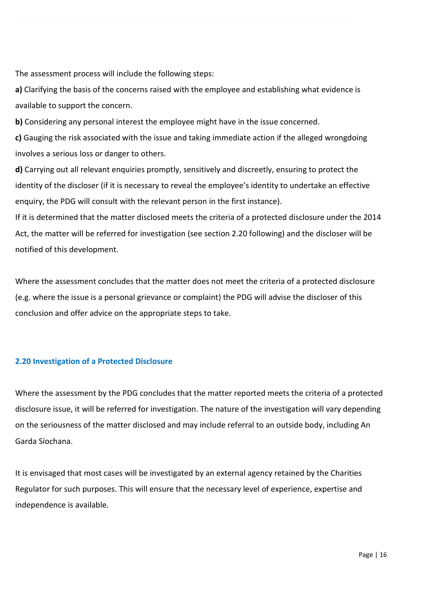The assessment process will include the following steps:

**a)** Clarifying the basis of the concerns raised with the employee and establishing what evidence is available to support the concern.

**b)** Considering any personal interest the employee might have in the issue concerned.

**c)** Gauging the risk associated with the issue and taking immediate action if the alleged wrongdoing involves a serious loss or danger to others.

**d)** Carrying out all relevant enquiries promptly, sensitively and discreetly, ensuring to protect the identity of the discloser (if it is necessary to reveal the employee's identity to undertake an effective enquiry, the PDG will consult with the relevant person in the first instance).

If it is determined that the matter disclosed meets the criteria of a protected disclosure under the 2014 Act, the matter will be referred for investigation (see section 2.20 following) and the discloser will be notified of this development.

Where the assessment concludes that the matter does not meet the criteria of a protected disclosure (e.g. where the issue is a personal grievance or complaint) the PDG will advise the discloser of this conclusion and offer advice on the appropriate steps to take.

## **2.20 Investigation of a Protected Disclosure**

Where the assessment by the PDG concludes that the matter reported meets the criteria of a protected disclosure issue, it will be referred for investigation. The nature of the investigation will vary depending on the seriousness of the matter disclosed and may include referral to an outside body, including An Garda Síochana.

It is envisaged that most cases will be investigated by an external agency retained by the Charities Regulator for such purposes. This will ensure that the necessary level of experience, expertise and independence is available.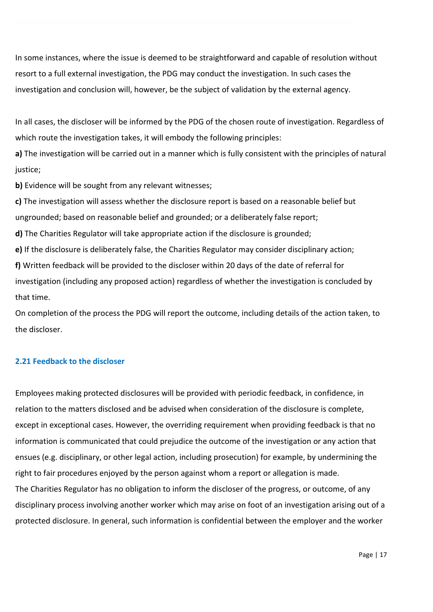In some instances, where the issue is deemed to be straightforward and capable of resolution without resort to a full external investigation, the PDG may conduct the investigation. In such cases the investigation and conclusion will, however, be the subject of validation by the external agency.

In all cases, the discloser will be informed by the PDG of the chosen route of investigation. Regardless of which route the investigation takes, it will embody the following principles:

**a)** The investigation will be carried out in a manner which is fully consistent with the principles of natural justice;

**b)** Evidence will be sought from any relevant witnesses;

**c)** The investigation will assess whether the disclosure report is based on a reasonable belief but ungrounded; based on reasonable belief and grounded; or a deliberately false report;

**d)** The Charities Regulator will take appropriate action if the disclosure is grounded;

**e)** If the disclosure is deliberately false, the Charities Regulator may consider disciplinary action; **f)** Written feedback will be provided to the discloser within 20 days of the date of referral for investigation (including any proposed action) regardless of whether the investigation is concluded by that time.

On completion of the process the PDG will report the outcome, including details of the action taken, to the discloser.

#### **2.21 Feedback to the discloser**

Employees making protected disclosures will be provided with periodic feedback, in confidence, in relation to the matters disclosed and be advised when consideration of the disclosure is complete, except in exceptional cases. However, the overriding requirement when providing feedback is that no information is communicated that could prejudice the outcome of the investigation or any action that ensues (e.g. disciplinary, or other legal action, including prosecution) for example, by undermining the right to fair procedures enjoyed by the person against whom a report or allegation is made. The Charities Regulator has no obligation to inform the discloser of the progress, or outcome, of any disciplinary process involving another worker which may arise on foot of an investigation arising out of a protected disclosure. In general, such information is confidential between the employer and the worker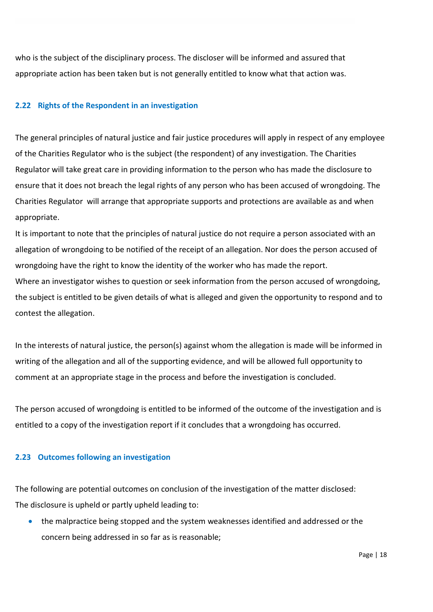who is the subject of the disciplinary process. The discloser will be informed and assured that appropriate action has been taken but is not generally entitled to know what that action was.

#### **2.22 Rights of the Respondent in an investigation**

The general principles of natural justice and fair justice procedures will apply in respect of any employee of the Charities Regulator who is the subject (the respondent) of any investigation. The Charities Regulator will take great care in providing information to the person who has made the disclosure to ensure that it does not breach the legal rights of any person who has been accused of wrongdoing. The Charities Regulator will arrange that appropriate supports and protections are available as and when appropriate.

It is important to note that the principles of natural justice do not require a person associated with an allegation of wrongdoing to be notified of the receipt of an allegation. Nor does the person accused of wrongdoing have the right to know the identity of the worker who has made the report.

Where an investigator wishes to question or seek information from the person accused of wrongdoing, the subject is entitled to be given details of what is alleged and given the opportunity to respond and to contest the allegation.

In the interests of natural justice, the person(s) against whom the allegation is made will be informed in writing of the allegation and all of the supporting evidence, and will be allowed full opportunity to comment at an appropriate stage in the process and before the investigation is concluded.

The person accused of wrongdoing is entitled to be informed of the outcome of the investigation and is entitled to a copy of the investigation report if it concludes that a wrongdoing has occurred.

#### **2.23 Outcomes following an investigation**

The following are potential outcomes on conclusion of the investigation of the matter disclosed: The disclosure is upheld or partly upheld leading to:

• the malpractice being stopped and the system weaknesses identified and addressed or the concern being addressed in so far as is reasonable;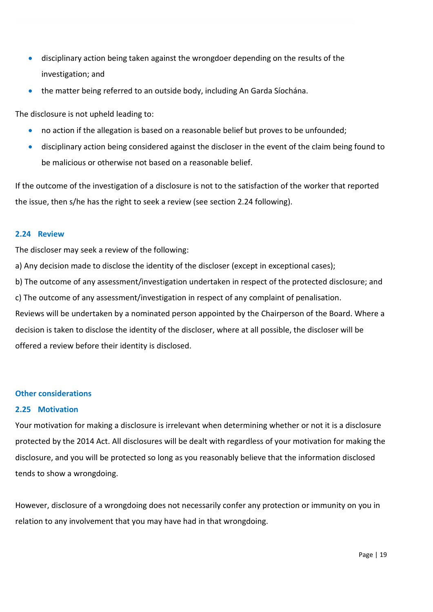- disciplinary action being taken against the wrongdoer depending on the results of the investigation; and
- the matter being referred to an outside body, including An Garda Síochána.

The disclosure is not upheld leading to:

- no action if the allegation is based on a reasonable belief but proves to be unfounded;
- disciplinary action being considered against the discloser in the event of the claim being found to be malicious or otherwise not based on a reasonable belief.

If the outcome of the investigation of a disclosure is not to the satisfaction of the worker that reported the issue, then s/he has the right to seek a review (see section 2.24 following).

#### **2.24 Review**

The discloser may seek a review of the following:

a) Any decision made to disclose the identity of the discloser (except in exceptional cases);

b) The outcome of any assessment/investigation undertaken in respect of the protected disclosure; and

c) The outcome of any assessment/investigation in respect of any complaint of penalisation.

Reviews will be undertaken by a nominated person appointed by the Chairperson of the Board. Where a decision is taken to disclose the identity of the discloser, where at all possible, the discloser will be offered a review before their identity is disclosed.

#### **Other considerations**

#### **2.25 Motivation**

Your motivation for making a disclosure is irrelevant when determining whether or not it is a disclosure protected by the 2014 Act. All disclosures will be dealt with regardless of your motivation for making the disclosure, and you will be protected so long as you reasonably believe that the information disclosed tends to show a wrongdoing.

However, disclosure of a wrongdoing does not necessarily confer any protection or immunity on you in relation to any involvement that you may have had in that wrongdoing.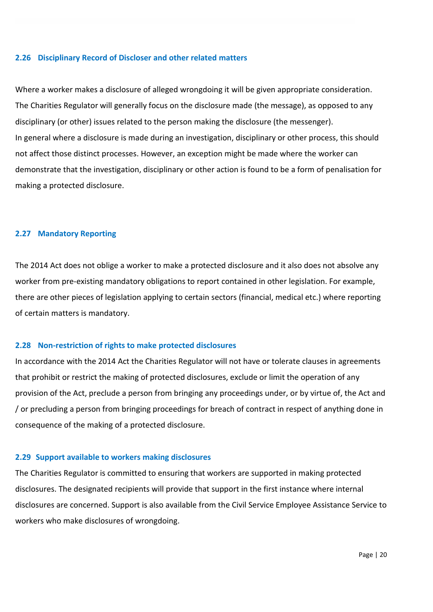#### **2.26 Disciplinary Record of Discloser and other related matters**

Where a worker makes a disclosure of alleged wrongdoing it will be given appropriate consideration. The Charities Regulator will generally focus on the disclosure made (the message), as opposed to any disciplinary (or other) issues related to the person making the disclosure (the messenger). In general where a disclosure is made during an investigation, disciplinary or other process, this should not affect those distinct processes. However, an exception might be made where the worker can demonstrate that the investigation, disciplinary or other action is found to be a form of penalisation for making a protected disclosure.

#### **2.27 Mandatory Reporting**

The 2014 Act does not oblige a worker to make a protected disclosure and it also does not absolve any worker from pre-existing mandatory obligations to report contained in other legislation. For example, there are other pieces of legislation applying to certain sectors (financial, medical etc.) where reporting of certain matters is mandatory.

#### **2.28 Non-restriction of rights to make protected disclosures**

In accordance with the 2014 Act the Charities Regulator will not have or tolerate clauses in agreements that prohibit or restrict the making of protected disclosures, exclude or limit the operation of any provision of the Act, preclude a person from bringing any proceedings under, or by virtue of, the Act and / or precluding a person from bringing proceedings for breach of contract in respect of anything done in consequence of the making of a protected disclosure.

#### **2.29 Support available to workers making disclosures**

The Charities Regulator is committed to ensuring that workers are supported in making protected disclosures. The designated recipients will provide that support in the first instance where internal disclosures are concerned. Support is also available from the Civil Service Employee Assistance Service to workers who make disclosures of wrongdoing.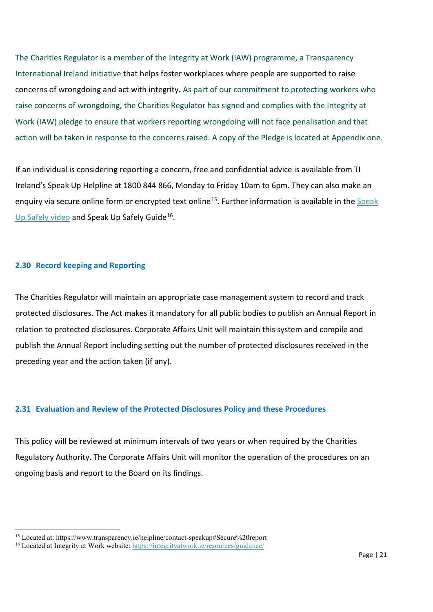The Charities Regulator is a member of the Integrity at Work (IAW) programme, a Transparency International Ireland initiative that helps foster workplaces where people are supported to raise concerns of wrongdoing and act with integrity**.** As part of our commitment to protecting workers who raise concerns of wrongdoing, the Charities Regulator has signed and complies with the Integrity at Work (IAW) pledge to ensure that workers reporting wrongdoing will not face penalisation and that action will be taken in response to the concerns raised. A copy of the Pledge is located at Appendix one.

If an individual is considering reporting a concern, free and confidential advice is available from TI Ireland's Speak Up Helpline at 1800 844 866, Monday to Friday 10am to 6pm. They can also make an enquiry via secure online form or encrypted text online<sup>15</sup>. Further information is available in the Speak [Up Safely video](https://www.youtube.com/watch?time_continue=5&v=9LDH1n5H_PQ&feature=emb_logo) and Speak Up Safely Guide<sup>16</sup>.

#### **2.30 Record keeping and Reporting**

**.** 

The Charities Regulator will maintain an appropriate case management system to record and track protected disclosures. The Act makes it mandatory for all public bodies to publish an Annual Report in relation to protected disclosures. Corporate Affairs Unit will maintain this system and compile and publish the Annual Report including setting out the number of protected disclosures received in the preceding year and the action taken (if any).

#### **2.31 Evaluation and Review of the Protected Disclosures Policy and these Procedures**

This policy will be reviewed at minimum intervals of two years or when required by the Charities Regulatory Authority. The Corporate Affairs Unit will monitor the operation of the procedures on an ongoing basis and report to the Board on its findings.

<span id="page-20-0"></span><sup>15</sup> Located at: https://www.transparency.ie/helpline/contact-speakup#Secure%20report

<span id="page-20-1"></span><sup>&</sup>lt;sup>16</sup> Located at Integrity at Work website:<https://integrityatwork.ie/resources/guidance/>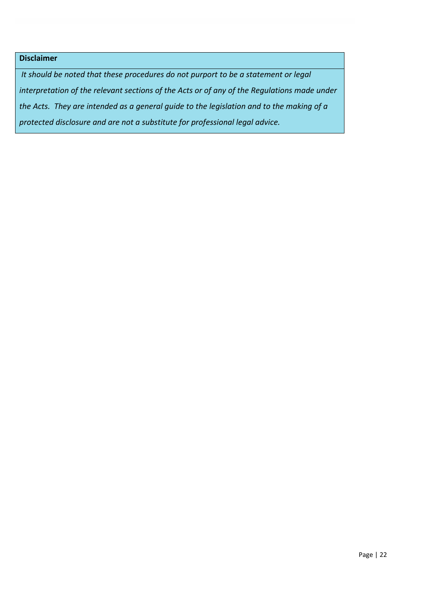## **Disclaimer**

*It should be noted that these procedures do not purport to be a statement or legal interpretation of the relevant sections of the Acts or of any of the Regulations made under the Acts. They are intended as a general guide to the legislation and to the making of a protected disclosure and are not a substitute for professional legal advice.*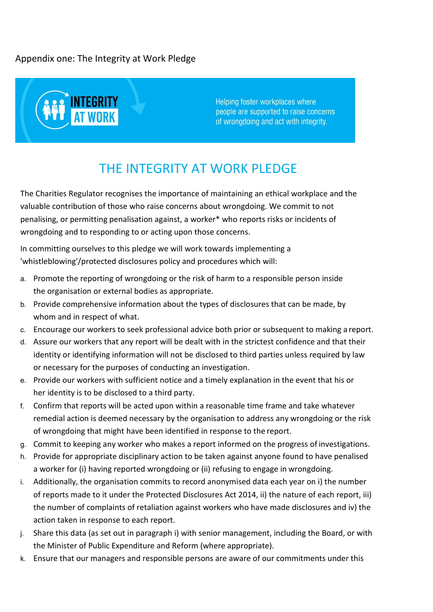## Appendix one: The Integrity at Work Pledge



Helping foster workplaces where people are supported to raise concerns of wrongdoing and act with integrity.

## THE INTEGRITY AT WORK PLEDGE

The Charities Regulator recognises the importance of maintaining an ethical workplace and the valuable contribution of those who raise concerns about wrongdoing. We commit to not penalising, or permitting penalisation against, a worker\* who reports risks or incidents of wrongdoing and to responding to or acting upon those concerns.

In committing ourselves to this pledge we will work towards implementing a 'whistleblowing'/protected disclosures policy and procedures which will:

- a. Promote the reporting of wrongdoing or the risk of harm to a responsible person inside the organisation or external bodies as appropriate.
- b. Provide comprehensive information about the types of disclosures that can be made, by whom and in respect of what.
- c. Encourage our workers to seek professional advice both prior or subsequent to making a report.
- d. Assure our workers that any report will be dealt with in the strictest confidence and that their identity or identifying information will not be disclosed to third parties unless required by law or necessary for the purposes of conducting an investigation.
- e. Provide our workers with sufficient notice and a timely explanation in the event that his or her identity is to be disclosed to a third party.
- f. Confirm that reports will be acted upon within a reasonable time frame and take whatever remedial action is deemed necessary by the organisation to address any wrongdoing or the risk of wrongdoing that might have been identified in response to the report.
- g. Commit to keeping any worker who makes a report informed on the progress of investigations.
- h. Provide for appropriate disciplinary action to be taken against anyone found to have penalised a worker for (i) having reported wrongdoing or (ii) refusing to engage in wrongdoing.
- i. Additionally, the organisation commits to record anonymised data each year on i) the number of reports made to it under the Protected Disclosures Act 2014, ii) the nature of each report, iii) the number of complaints of retaliation against workers who have made disclosures and iv) the action taken in response to each report.
- j. Share this data (as set out in paragraph i) with senior management, including the Board, or with the Minister of Public Expenditure and Reform (where appropriate).
- k. Ensure that our managers and responsible persons are aware of our commitments under this